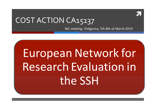ì

## COST ACTION CA15137

MC meeting, Podgorica, 7th-8th of March 2019

# European Network for Research Evaluation in the SSH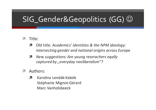# SIG\_Gender&Geopolitics (GG) ©

- Title:  $\mathcal{F}_{\mathcal{A}}$ 
	- Old title: Academics' identities & the NPM ideology: 7 intersecting gender and national origins across Europe
	- New suggestions: Are young reserachers eqally 7 captured by "everyday neoliberalism"?
- Authors: 71
	- Karolina Lendák-Kabók 7 Stéphanie Mignot-Gérard Marc Vanholsbeeck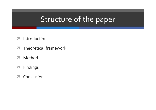# Structure of the paper

- Introduction  $\overline{\phantom{a}}$
- Theoretical framework  $\overline{\phantom{a}}$
- $\overline{\mathcal{L}}$ Method
- **Findings**  $\overline{\phantom{a}}$
- Conslusion  $\overline{\phantom{a}}$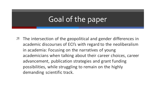# Goal of the paper

 $\blacktriangledown$  The intersection of the geopolitical and gender differences in academic discourses of ECI's with regard to the neoliberalism in academia: Focusing on the narratives of young academicians when talking about their career choices, career advancement, publication strategies and grant funding possibilities, while struggling to remain on the highly demanding scientific track.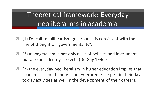## Theoretical framework: Everyday neoliberalims in academia

- $\blacktriangledown$  (1) Foucalt: neolibearlism governance is consistent with the line of thought of "governmentality".
- $\pi$  (2) manageralism is not only a set of policies and instruments but also an "identity project" (Du Gay 1996)
- $\pi$  (3) the everyday neoliberalism in higher education implies that academics should endorse an enterprenurial spirit in their dayto-day activities as well in the development of their careers.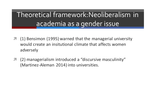Theoretical framework:Neoliberalism in academia as a gender issue

- (1) Bensimon (1995) warned that the managerial university would create an insitutional climate that affects women adversely
- (2) managerialism introduced a "discursive masculinity" (Martinez-Aleman 2014) into universities.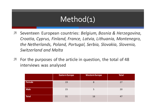## Method(1)

- Seventeen European countries: *Belgium, Bosnia & Herzegovina, Croatia, Cyprus, Finland, France, Latvia, Lithuania, Montenegro, the Netherlands, Poland, Portugal, Serbia, Slovakia, Slovenia, Switzerland and Malta*
- **7** For the purposes of the article in question, the total of 48 interviews was analysed

|             | <b>Eastern Europe</b> | <b>Western Europe</b> | <b>Total</b> |
|-------------|-----------------------|-----------------------|--------------|
| Female      | 19                    | 8                     | 27           |
| <b>Male</b> | 15                    | 5                     | 20           |
| Total       | 31                    | 16                    | 47           |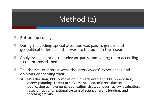# Method (2)

- $\pi$  Bottom-up coding
- **7** During the coding, special attention was paid to gender and geopolitical differences that were to be found in the research.
- **7** Analysis: highlighting the relevant parts, and coding them according to the proposed themes
- **7** The themes of interest were the interviewees' experiences and opinions concerning their:
	- **7** PhD decision, PhD completion, PhD achievement, PhD supervision, career planning, **career achievement**, academic recruitment, publication achievement, **publication strategy**, peer review, evaluation, research activity, national system of science, **grant funding**, and teaching activity.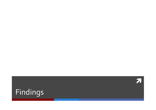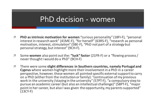## PhD decision - women

- *A* PhD as intrinsic motivation for women: "curious personality" (18FI-F), "personal interest in research work" (41ME-F), "for herself" (63RS-F), "research as personal motivation, interest, stimulation" (5BE-F), "PhD not part of a strategy but personal strategy, but interest" (9CH-F).
- $\lambda$  Some women also point out the: "luck" factor (21FR-F) or a "flowing process / never thought I would do a PhD" (9CH-F)
- *A* There were some slight differences in Southern countries, namely Portugal and **Cyprus** where women highlight more their involvement in a PhD in a career perspective, however, these women all pointed specific external support to carry on a PhD (either from the institution or family): "continuation of my previous work in the university / staying in the university" (57PT-F), "a compulsory step to pursue an academic career (but also an intellectual challenge)" (58PT-F), "major point in her career, but also I was given the opportunity, my parents supported" (13CY-F)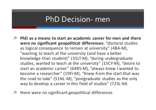#### PhD Decision- men

- $\pi$  PhD as a means to start an academic career for men and there **were no significant geopolitical differences:** "doctoral studies as logical consequence to remain at university" (4BA-M), "wanting to teach at the university (and have a better knowledge than student)" (35LT-M), "during undergraduate studies, wanted to teach at the university" (15CY-M), "desire to start an academic career" (64RS-M), "always knew I wanted to become a researcher" (19FI-M), "Knew from the start that was the road to take"  $(51NL-M)$ , "postgraduate studies as the only way to develop a career in this field of studies" (72SL-M)
- there were no significant geopolitical differences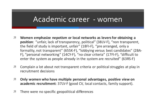#### Academic career - women

- $\lambda$  Women emphasize nepotism or local networks as levers for obtaining a **position**: "unfair, lack of transparency, political" (38LV-F), "non transparent, the field of study is important, unfair" (18FI-F), "pre arranged, only a formality, not transparent" (65SK-F), "lobbying versus best candidates" (2BA-F), "personal networking" (14CY-F), "no clear criteria" (17FI-F), "difficult to enter the system as people already in the system are recruited" (63RS-F)
- **7** Complain a lot about not transparent criteria or political struggles at play in recruitment decisions
- $\lambda$  Only women who have multiple personal advantages, positive view on **academic recruitment**: 37LV-F (good CV, local contacts, family support).
- $\lambda$  There were no specific geopolitical differences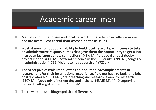#### Academic career- men

- $\pi$  Men also point nepotism and local network but academic excellence as well and are overall less critical than women on these issues
- $\pi$  Most of men point out their ability to build local networks, willingness to take on administrative responsibilities that gave them the opportunity to get a job **in academia**: "appropriate connections" (4BA-M), "proposal of post-doc by project leader" (8BE-M), "extend presence in the university" (7BE-M), "engaged in administration" (7BE-M),"chosen by supervisor" (72SL-M).
- $\pi$  The other part of male interviewees point out their **accomplishments in** research and/or their international experience: "did not have to look for a job, post doc aborad" (35LT-M), "fair teaching and research, award for research" (15CY-M), "good mix of networking and articles" (43ME-M), "PhD supervisor helped + Fullbright fellowship" (19FI-M).
- $\sqrt{ }$  There were no specific geopolitical differences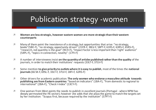## Publication strategy -women

- $\overline{a}$  Women are less strategic, however eastern women are more strategic than their western **counterparts**
- $\blacktriangledown$  Many of them point the inexistence of a strategy, but opportunities that arise: "no strategy, books"(5BE-F), "no strategy, opportunity driven" (21FR-F, 38LV-F, 58PT-F, 61RS-F, 63RS-F, 65RS-F), " research, not quantity is the goal" (9CH-F), "Impact factor is less important than 'right' audience" (54PL-F), "topics in connection, novelty" (17FI-F)
- $\lambda$  A number of interviewees insist **on the quantity of articles published rather than the quality of the** journals, in order to match their institutions' requests (33LT-F, 37LV-F)
- $\lambda$  Some mention **to give priority to outlets where it is easy to publish**, most of the times the **national journals** (66 SK-F, 69SL-F, 33LT-F, 37LV-F, 18FI-F, 62RS-F)
- *i* **Other drivers for academic publication: The only women who endorse a masculine attitude towards publishing are from Eastern countries:** "based on indicators" (1BA-F), "from domestic to regional to international" (2BA-F), "Check I-Index" (13CY-F).
- **1** One woman from West points the needs to publish in excellent journals (Portugal where NPM has deeply permeated the HE sector); however she adds that she plays the game to match the targets set by her institution: "Scopus first, because required by the institution" (57PT-F)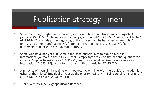## Publication strategy - men

- **7** Some men target high quality journals, either or international/A-journas: "English, A-<br>journals" (55PL-M), "International first, very good journals" (36LT-M), "high impact factor"  $(64RS-M)$ , "A-journals at the beginning of the career, now he has a permanent job, Ajournals less important" (51NL-M), "target international journals" (72SL-M), "co-<br>authorship to publish in best journals" (4BA-M)
- $\blacktriangledown$  Some who have not vet published in the best journals, aim to publish more in international journals in the future. Others simply try to stick on the national quantitative criteria: "aspires to write more" (16CY-M), "mostly national, aspires to write more in international" (68SK-M), "stick to the quantitative criteria in LT" (35LT-M)
- $\lambda$  A minority of men highlight different motives, more in line with the traditional academic ethos of their field: "Empirical articles as the priority" (3BA-M), "Being convincing, original"  $(15CY-M)$ , "the field first"  $(43ME-M)$
- $\lambda$  There were no specific geopolitical differences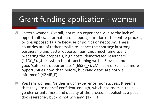## Grant funding application - women

- **7** Eastern women: Overall, not much experience due to the lack of opportunities, information or support, duration of the entire process, or presupposed failure because of politics or nepotism. These countries are of rather small size, hence the shortage in strong partnership and better opportunities: "not much time spent preparing the proposals, high costs, demotivated reserchers"  $(14CY$ <sub>[f</sub>], "the system is not functioning well in Slovakia, no good/sufficient opportunities" (65SK F), "Ministry of Science, more opportunities now, than before, but candidates are not well informed" (42ME F).
- **7** Western women: Neither much experience, nor success. It seems that they are not self-confident enough, which has roots in their gender or unfairness and opacity of the process: "applied as a postdoc reseracher, but did not win any" (17FI\_F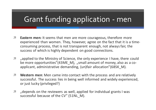## Grant funding application - men

- $\lambda$  **Eastern men:** It seems that men are more courageous, therefore more experienced than women. They, however, agree on the fact that it is a timeconsuming process, that is not transparent enough, not always fair, the success of which is highly dependent on good connections.
- **7** , applied to the Ministry of Science, the only experience I have, there could be more opportunities"(43ME M), "small amount of money, also as a coapplicant, administrative demanding, (un)fair allocation"(68SK M).
- *A* Western men: Men came into contact with the process and are relatively successful. The success lies in being well informed and widely experienced, or just lucky (privileged?)
- **7** , depends on the reviewers as well, applied for individual grants I was successful because of the CV" (51NL M).